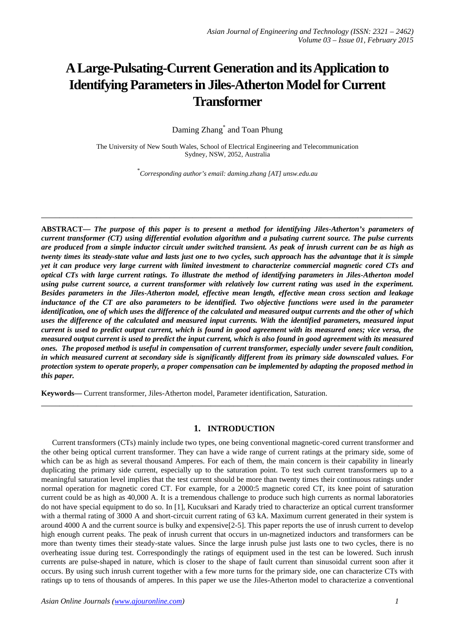# **A Large-Pulsating-Current Generation and its Application to Identifying Parameters in Jiles-Atherton Model for Current Transformer**

Daming Zhang<sup>\*</sup> and Toan Phung

The University of New South Wales, School of Electrical Engineering and Telecommunication Sydney, NSW, 2052, Australia

\* *Corresponding author's email: daming.zhang [AT] unsw.edu.au*

**\_\_\_\_\_\_\_\_\_\_\_\_\_\_\_\_\_\_\_\_\_\_\_\_\_\_\_\_\_\_\_\_\_\_\_\_\_\_\_\_\_\_\_\_\_\_\_\_\_\_\_\_\_\_\_\_\_\_\_\_\_\_\_\_\_\_\_\_\_\_\_\_\_\_\_\_\_\_\_\_\_**

**ABSTRACT—** *The purpose of this paper is to present a method for identifying Jiles-Atherton's parameters of current transformer (CT) using differential evolution algorithm and a pulsating current source. The pulse currents are produced from a simple inductor circuit under switched transient. As peak of inrush current can be as high as twenty times its steady-state value and lasts just one to two cycles, such approach has the advantage that it is simple yet it can produce very large current with limited investment to characterize commercial magnetic cored CTs and optical CTs with large current ratings. To illustrate the method of identifying parameters in Jiles-Atherton model using pulse current source, a current transformer with relatively low current rating was used in the experiment. Besides parameters in the Jiles-Atherton model, effective mean length, effective mean cross section and leakage inductance of the CT are also parameters to be identified. Two objective functions were used in the parameter identification, one of which uses the difference of the calculated and measured output currents and the other of which uses the difference of the calculated and measured input currents. With the identified parameters, measured input current is used to predict output current, which is found in good agreement with its measured ones; vice versa, the measured output current is used to predict the input current, which is also found in good agreement with its measured ones. The proposed method is useful in compensation of current transformer, especially under severe fault condition, in which measured current at secondary side is significantly different from its primary side downscaled values. For protection system to operate properly, a proper compensation can be implemented by adapting the proposed method in this paper.*

**Keywords—** Current transformer, Jiles-Atherton model, Parameter identification, Saturation.

#### **1. INTRODUCTION**

**\_\_\_\_\_\_\_\_\_\_\_\_\_\_\_\_\_\_\_\_\_\_\_\_\_\_\_\_\_\_\_\_\_\_\_\_\_\_\_\_\_\_\_\_\_\_\_\_\_\_\_\_\_\_\_\_\_\_\_\_\_\_\_\_\_\_\_\_\_\_\_\_\_\_\_\_\_\_\_\_\_**

Current transformers (CTs) mainly include two types, one being conventional magnetic-cored current transformer and the other being optical current transformer. They can have a wide range of current ratings at the primary side, some of which can be as high as several thousand Amperes. For each of them, the main concern is their capability in linearly duplicating the primary side current, especially up to the saturation point. To test such current transformers up to a meaningful saturation level implies that the test current should be more than twenty times their continuous ratings under normal operation for magnetic cored CT. For example, for a 2000:5 magnetic cored CT, its knee point of saturation current could be as high as 40,000 A. It is a tremendous challenge to produce such high currents as normal laboratories do not have special equipment to do so. In [1], Kucuksari and Karady tried to characterize an optical current transformer with a thermal rating of 3000 A and short-circuit current rating of 63 kA. Maximum current generated in their system is around 4000 A and the current source is bulky and expensive[2-5]. This paper reports the use of inrush current to develop high enough current peaks. The peak of inrush current that occurs in un-magnetized inductors and transformers can be more than twenty times their steady-state values. Since the large inrush pulse just lasts one to two cycles, there is no overheating issue during test. Correspondingly the ratings of equipment used in the test can be lowered. Such inrush currents are pulse-shaped in nature, which is closer to the shape of fault current than sinusoidal current soon after it occurs. By using such inrush current together with a few more turns for the primary side, one can characterize CTs with ratings up to tens of thousands of amperes. In this paper we use the Jiles-Atherton model to characterize a conventional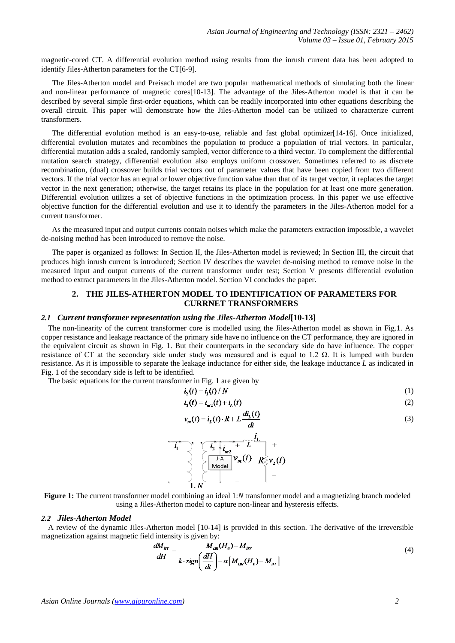magnetic-cored CT. A differential evolution method using results from the inrush current data has been adopted to identify Jiles-Atherton parameters for the CT[6-9].

The Jiles-Atherton model and Preisach model are two popular mathematical methods of simulating both the linear and non-linear performance of magnetic cores[10-13]. The advantage of the Jiles-Atherton model is that it can be described by several simple first-order equations, which can be readily incorporated into other equations describing the overall circuit. This paper will demonstrate how the Jiles-Atherton model can be utilized to characterize current transformers.

The differential evolution method is an easy-to-use, reliable and fast global optimizer[14-16]. Once initialized, differential evolution mutates and recombines the population to produce a population of trial vectors. In particular, differential mutation adds a scaled, randomly sampled, vector difference to a third vector. To complement the differential mutation search strategy, differential evolution also employs uniform crossover. Sometimes referred to as discrete recombination, (dual) crossover builds trial vectors out of parameter values that have been copied from two different vectors. If the trial vector has an equal or lower objective function value than that of its target vector, it replaces the target vector in the next generation; otherwise, the target retains its place in the population for at least one more generation. Differential evolution utilizes a set of objective functions in the optimization process. In this paper we use effective objective function for the differential evolution and use it to identify the parameters in the Jiles-Atherton model for a current transformer.

As the measured input and output currents contain noises which make the parameters extraction impossible, a wavelet de-noising method has been introduced to remove the noise.

The paper is organized as follows: In Section II, the Jiles-Atherton model is reviewed; In Section III, the circuit that produces high inrush current is introduced; Section IV describes the wavelet de-noising method to remove noise in the measured input and output currents of the current transformer under test; Section V presents differential evolution method to extract parameters in the Jiles-Atherton model. Section VI concludes the paper.

# **2. THE JILES-ATHERTON MODEL TO IDENTIFICATION OF PARAMETERS FOR CURRNET TRANSFORMERS**

#### *2.1 Current transformer representation using the Jiles-Atherton Model***[10-13]**

The non-linearity of the current transformer core is modelled using the Jiles-Atherton model as shown in Fig.1. As copper resistance and leakage reactance of the primary side have no influence on the CT performance, they are ignored in the equivalent circuit as shown in Fig. 1. But their counterparts in the secondary side do have influence. The copper resistance of CT at the secondary side under study was measured and is equal to 1.2  $\Omega$ . It is lumped with burden resistance. As it is impossible to separate the leakage inductance for either side, the leakage inductance *L* as indicated in Fig. 1 of the secondary side is left to be identified.

The basic equations for the current transformer in Fig. 1 are given by

$$
i_2(t) = i_1(t) / N \tag{1}
$$

$$
i_2(t) = i_{m2}(t) + i_L(t)
$$
 (2)

$$
v_m(t) = i_L(t) \cdot R + L \frac{di_L(t)}{dt}
$$
\n(3)



**Figure 1:** The current transformer model combining an ideal 1:*N* transformer model and a magnetizing branch modeled using a Jiles-Atherton model to capture non-linear and hysteresis effects.

#### *2.2 Jiles-Atherton Model*

A review of the dynamic Jiles-Atherton model [10-14] is provided in this section. The derivative of the irreversible magnetization against magnetic field intensity is given by:

$$
\frac{dM_{irr}}{dH} = \frac{M_{an}(H_e) - M_{irr}}{k \cdot sign\left(\frac{dH}{dt}\right) - \alpha \left[M_{an}(H_e) - M_{irr}\right]}
$$
\n(4)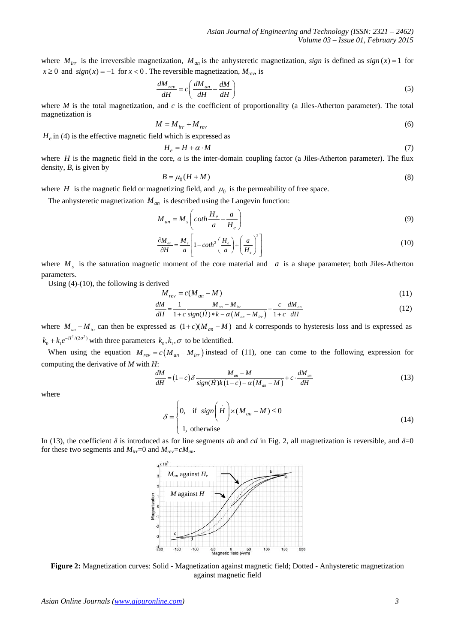where  $M_{irr}$  is the irreversible magnetization,  $M_{an}$  is the anhysteretic magnetization, *sign* is defined as  $sign(x) = 1$  for  $x \ge 0$  and  $sign(x) = -1$  for  $x < 0$ . The reversible magnetization,  $M_{rev}$ , is

$$
\frac{dM_{rev}}{dH} = c \left( \frac{dM_{an}}{dH} - \frac{dM}{dH} \right)
$$
\n(5)

where *M* is the total magnetization, and *c* is the coefficient of proportionality (a Jiles-Atherton parameter). The total magnetization is

$$
M = M_{irr} + M_{rev} \tag{6}
$$

 $H_e$  in (4) is the effective magnetic field which is expressed as

$$
H_e = H + \alpha \cdot M \tag{7}
$$

where *H* is the magnetic field in the core,  $\alpha$  is the inter-domain coupling factor (a Jiles-Atherton parameter). The flux density, *B*, is given by

$$
B = \mu_0 (H + M) \tag{8}
$$

where *H* is the magnetic field or magnetizing field, and  $\mu_0$  is the permeability of free space.

The anhysteretic magnetization  $M_{an}$  is described using the Langevin function:

$$
M_{an} = M_s \left( \coth \frac{H_e}{a} - \frac{a}{H_e} \right) \tag{9}
$$

$$
\frac{\partial M_{an}}{\partial H} = \frac{M_s}{a} \left[ 1 - \coth^2 \left( \frac{H_e}{a} \right) + \left( \frac{a}{H_e} \right)^2 \right] \tag{10}
$$

where  $M<sub>s</sub>$  is the saturation magnetic moment of the core material and *a* is a shape parameter; both Jiles-Atherton parameters.

Using (4)-(10), the following is derived

$$
M_{rev} = c(M_{an} - M) \tag{11}
$$

$$
\frac{dM}{dH} = \frac{1}{1+c} \frac{M_{an} - M_{irr}}{sign(\dot{H}) * k - \alpha (M_{an} - M_{irr})} + \frac{c}{1+c} \frac{dM_{an}}{dH}
$$
(12)

where  $M_{ar} - M_{irr}$  can then be expressed as  $(1+c)(M_{an}-M)$  and *k* corresponds to hysteresis loss and is expressed as  $k_0 + k_1 e^{-H^2/(2\sigma^2)}$  with three parameters  $k_0, k_1, \sigma$  to be identified.

When using the equation  $M_{rev} = c(M_{an} - M_{irr})$  instead of (11), one can come to the following expression for computing the derivative of *M* with *H*:

$$
\frac{dM}{dH} = (1-c)\delta \frac{M_{an} - M}{sign(H)k(1-c) - \alpha(M_{an} - M)} + c \cdot \frac{dM_{an}}{dH}
$$
\n(13)

where

$$
\delta = \begin{cases} 0, & \text{if } sign\left(H\right) \times (M_{an} - M) \le 0 \\ 1, & \text{otherwise} \end{cases}
$$
 (14)

In (13), the coefficient  $\delta$  is introduced as for line segments *ab* and *cd* in Fig. 2, all magnetization is reversible, and  $\delta=0$ for these two segments and  $M_{irr}$ =0 and  $M_{rev}$ = $cM_{an}$ .



**Figure 2:** Magnetization curves: Solid - Magnetization against magnetic field; Dotted - Anhysteretic magnetization against magnetic field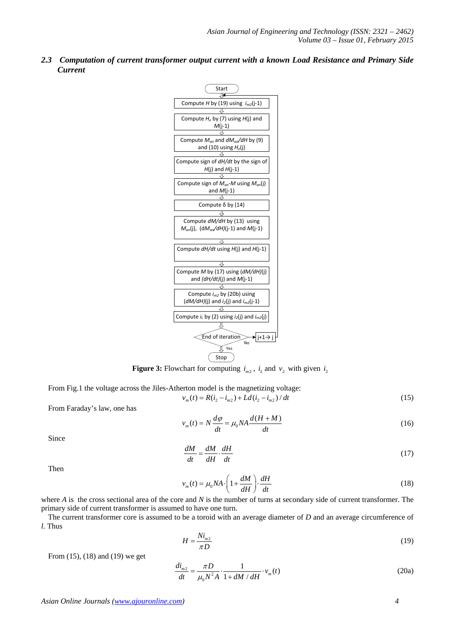*2.3 Computation of current transformer output current with a known Load Resistance and Primary Side Current* 



**Figure 3:** Flowchart for computing  $i_{m2}$ ,  $i_L$  and  $v_2$  with given  $i_2$ 

From Fig.1 the voltage across the Jiles-Atherton model is the magnetizing voltage:

$$
v_m(t) = R(i_2 - i_{m2}) + Ld(i_2 - i_{m2})/dt
$$
\n(15)

From Faraday's law, one has

$$
v_m(t) = N \frac{d\varphi}{dt} = \mu_0 N A \frac{d(H+M)}{dt}
$$
\n(16)

Since

$$
\frac{dM}{dt} = \frac{dM}{dH} \cdot \frac{dH}{dt} \tag{17}
$$

Then

$$
v_m(t) = \mu_0 N A \cdot \left(1 + \frac{dM}{dH}\right) \cdot \frac{dH}{dt}
$$
\n(18)

where *A* is the cross sectional area of the core and *N* is the number of turns at secondary side of current transformer. The primary side of current transformer is assumed to have one turn.

The current transformer core is assumed to be a toroid with an average diameter of *D* and an average circumference of *l.* Thus

$$
H = \frac{Ni_{m2}}{\pi D} \tag{19}
$$

From (15), (18) and (19) we get

$$
\frac{di_{m2}}{dt} = \frac{\pi D}{\mu_0 N^2 A} \cdot \frac{1}{1 + dM / dH} \cdot v_m(t)
$$
\n(20a)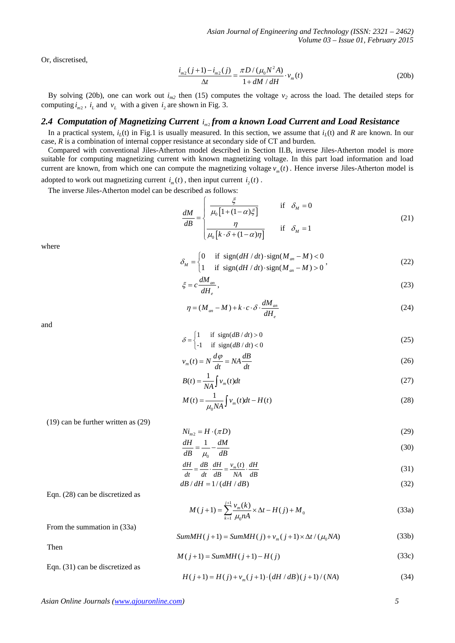Or, discretised,

$$
\frac{i_{m2}(j+1) - i_{m2}(j)}{\Delta t} = \frac{\pi D / (\mu_0 N^2 A)}{1 + dM / dH} \cdot v_m(t)
$$
\n(20b)

By solving (20b), one can work out  $i_{m2}$  then (15) computes the voltage  $v_2$  across the load. The detailed steps for computing  $i_{m2}$ ,  $i_L$  and  $v_L$  with a given  $i_2$  are shown in Fig. 3.

# 2.4 *Computation of Magnetizing Current i*<sub>*m*2</sub> *from a known Load Current and Load Resistance*

In a practical system,  $i_l(t)$  in Fig.1 is usually measured. In this section, we assume that  $i_l(t)$  and *R* are known. In our case, *R* is a combination of internal copper resistance at secondary side of CT and burden.

Compared with conventional Jiles-Atherton model described in Section II.B, inverse Jiles-Atherton model is more suitable for computing magnetizing current with known magnetizing voltage. In this part load information and load current are known, from which one can compute the magnetizing voltage  $v_m(t)$ . Hence inverse Jiles-Atherton model is adopted to work out magnetizing current  $i_m(t)$ , then input current  $i_2(t)$ .

The inverse Jiles-Atherton model can be described as follows:

$$
\frac{dM}{dB} = \begin{cases}\n\frac{\xi}{\mu_0 \left[1 + (1 - \alpha)\xi\right]} & \text{if } \delta_M = 0 \\
\frac{\eta}{\mu_0 \left[k \cdot \delta + (1 - \alpha)\eta\right]} & \text{if } \delta_M = 1\n\end{cases}
$$
\n(21)

where

$$
\delta_M = \begin{cases}\n0 & \text{if } \operatorname{sign}(dH/dt) \cdot \operatorname{sign}(M_{an} - M) < 0 \\
1 & \text{if } \operatorname{sign}(dH/dt) \cdot \operatorname{sign}(M_{an} - M) > 0\n\end{cases} \tag{22}
$$

$$
\xi = c \frac{dM_{an}}{dH_e},\tag{23}
$$

$$
\eta = (M_{an} - M) + k \cdot c \cdot \delta \cdot \frac{dM_{an}}{dH_e}
$$
\n(24)

and

$$
\delta = \begin{cases} 1 & \text{if } \operatorname{sign}(d\boldsymbol{B}/d\boldsymbol{t}) > 0 \\ -1 & \text{if } \operatorname{sign}(d\boldsymbol{B}/d\boldsymbol{t}) < 0 \end{cases}
$$
 (25)

$$
v_m(t) = N \frac{d\varphi}{dt} = NA \frac{dB}{dt}
$$
\n(26)

$$
B(t) = \frac{1}{NA} \int v_m(t)dt
$$
 (27)

$$
M(t) = \frac{1}{\mu_0 N A} \int v_m(t) dt - H(t)
$$
\n(28)

(19) can be further written as (29)

$$
Ni_{m2} = H \cdot (\pi D) \tag{29}
$$

$$
\frac{dH}{dB} = \frac{1}{\mu_0} - \frac{dM}{dB} \tag{30}
$$

$$
\frac{dH}{dt} = \frac{dB}{dt} \cdot \frac{dH}{dB} = \frac{v_m(t)}{NA} \cdot \frac{dH}{dB}
$$
\n(31)

$$
\begin{array}{cc}\n dt & dt & dB & NA & dB \\
\frac{dB}{dH} = 1/(dH/dB) & (32)\n\end{array}
$$

Eqn. (28) can be discretized as

$$
M(j+1) = \sum_{k=1}^{j+1} \frac{v_m(k)}{\mu_0 n A} \times \Delta t - H(j) + M_0
$$
\n(33a)

From the summation in (33a)

$$
SumMH(j+1) = SumMH(j) + v_m(j+1) \times \Delta t / (\mu_0 NA)
$$
\n(33b)

Then

$$
M(j+1) = SumMH(j+1) - H(j)
$$
\n(33c)  
\nEqn. (31) can be discretized as

$$
H(j+1) = H(j) + v_m(j+1) \cdot (dH/dB)(j+1) / (NA)
$$
\n(34)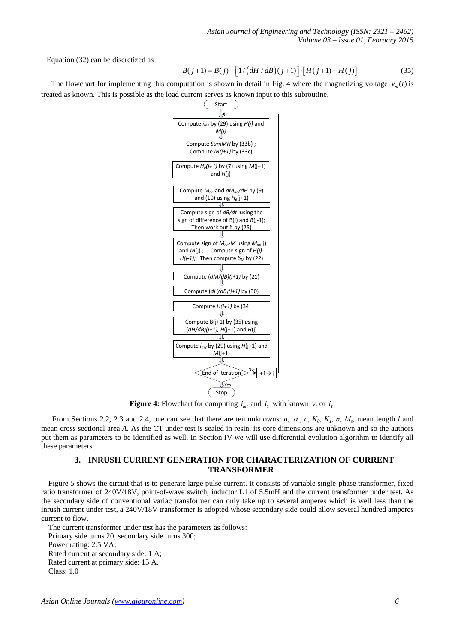*Asian Journal of Engineering and Technology (ISSN: 2321 – 2462) Volume 03 – Issue 01, February 2015*

Equation (32) can be discretized as

$$
B(j+1) = B(j) + [1/(dH/dB)(j+1)] \cdot [H(j+1) - H(j)] \tag{35}
$$

The flowchart for implementing this computation is shown in detail in Fig. 4 where the magnetizing voltage  $v_m(t)$  is treated as known. This is possible as the load current serves as known input to this subroutine.



**Figure 4:** Flowchart for computing  $i_{m2}$  and  $i_2$  with known  $v_2$  or  $i_L$ 

From Sections 2.2, 2.3 and 2.4, one can see that there are ten unknowns: *a*,  $\alpha$ ,  $c$ ,  $K_0$ ,  $K_1$ ,  $\sigma$ ,  $M_s$ , mean length *l* and mean cross sectional area *A*. As the CT under test is sealed in resin, its core dimensions are unknown and so the authors put them as parameters to be identified as well. In Section IV we will use differential evolution algorithm to identify all these parameters.

# **3. INRUSH CURRENT GENERATION FOR CHARACTERIZATION OF CURRENT TRANSFORMER**

Figure 5 shows the circuit that is to generate large pulse current. It consists of variable single-phase transformer, fixed ratio transformer of 240V/18V, point-of-wave switch, inductor L1 of 5.5mH and the current transformer under test. As the secondary side of conventional variac transformer can only take up to several amperes which is well less than the inrush current under test, a 240V/18V transformer is adopted whose secondary side could allow several hundred amperes current to flow.

The current transformer under test has the parameters as follows:

Primary side turns 20; secondary side turns 300;

Power rating: 2.5 VA;

Rated current at secondary side: 1 A;

Rated current at primary side: 15 A.

Class: 1.0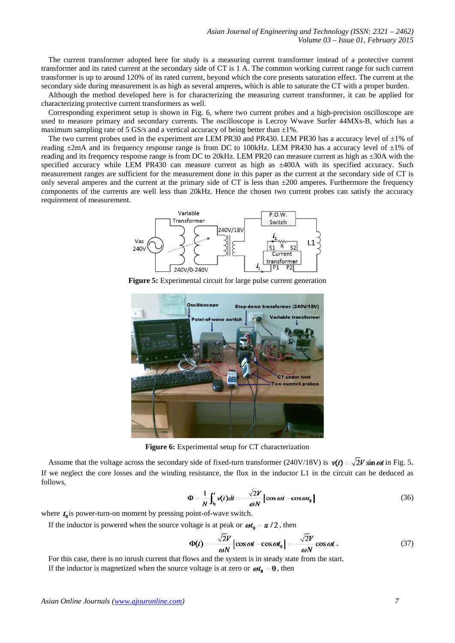The current transformer adopted here for study is a measuring current transformer instead of a protective current transformer and its rated current at the secondary side of CT is 1 A. The common working current range for such current transformer is up to around 120% of its rated current, beyond which the core presents saturation effect. The current at the secondary side during measurement is as high as several amperes, which is able to saturate the CT with a proper burden.

Although the method developed here is for characterizing the measuring current transformer, it can be applied for characterizing protective current transformers as well.

Corresponding experiment setup is shown in Fig. 6, where two current probes and a high-precision oscilloscope are used to measure primary and secondary currents. The oscilloscope is Lecroy Wwave Surfer 44MXs-B, which has a maximum sampling rate of 5 GS/s and a vertical accuracy of being better than  $\pm 1\%$ .

The two current probes used in the experiment are LEM PR30 and PR430. LEM PR30 has a accuracy level of  $\pm 1\%$  of reading  $\pm 2$ mA and its frequency response range is from DC to 100kHz. LEM PR430 has a accuracy level of  $\pm 1$ % of reading and its frequency response range is from DC to 20kHz. LEM PR20 can measure current as high as  $\pm 30$ A with the specified accuracy while LEM PR430 can measure current as high as  $\pm 400$ A with its specified accuracy. Such measurement ranges are sufficient for the measurement done in this paper as the current at the secondary side of CT is only several amperes and the current at the primary side of CT is less than  $\pm 200$  amperes. Furthermore the frequency components of the currents are well less than 20kHz. Hence the chosen two current probes can satisfy the accuracy requirement of measurement.



**Figure 5:** Experimental circuit for large pulse current generation



**Figure 6:** Experimental setup for CT characterization

Assume that the voltage across the secondary side of fixed-turn transformer (240V/18V) is  $v(t) = \sqrt{2}V \sin \omega t$  in Fig. 5. If we neglect the core losses and the winding resistance, the flux in the inductor L1 in the circuit can be deduced as follows,

$$
\Phi = \frac{1}{N} \int_{t_0}^t v(t) dt = -\frac{\sqrt{2V}}{\omega N} \left[ \cos \omega t - \cos \omega t_0 \right]
$$
 (36)

where  $t_0$  is power-turn-on moment by pressing point-of-wave switch.

If the inductor is powered when the source voltage is at peak or  $\omega t_0 = \pi/2$ , then

$$
\Phi(t) = -\frac{\sqrt{2}V}{\omega N} \left[ \cos \omega t - \cos \omega t_0 \right] = -\frac{\sqrt{2}V}{\omega N} \cos \omega t \,. \tag{37}
$$

For this case, there is no inrush current that flows and the system is in steady state from the start. If the inductor is magnetized when the source voltage is at zero or  $\omega t_0 = 0$ , then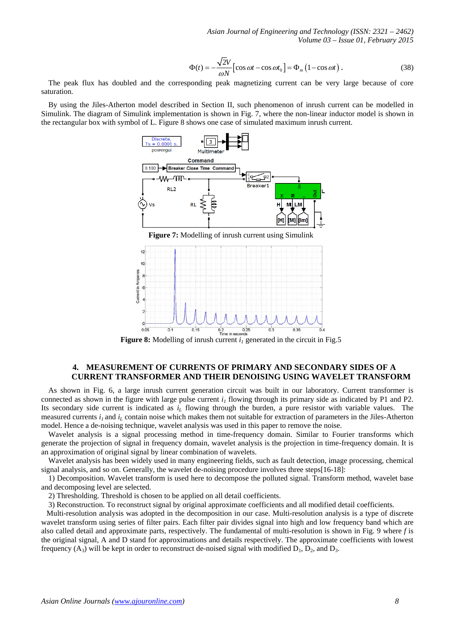*Asian Journal of Engineering and Technology (ISSN: 2321 – 2462) Volume 03 – Issue 01, February 2015*

$$
\Phi(t) = -\frac{\sqrt{2}V}{\omega N} \left[ \cos \omega t - \cos \omega t_0 \right] = \Phi_m \left( 1 - \cos \omega t \right). \tag{38}
$$

The peak flux has doubled and the corresponding peak magnetizing current can be very large because of core saturation.

By using the Jiles-Atherton model described in Section II, such phenomenon of inrush current can be modelled in Simulink. The diagram of Simulink implementation is shown in Fig. 7, where the non-linear inductor model is shown in the rectangular box with symbol of L. Figure 8 shows one case of simulated maximum inrush current.



**Figure 7:** Modelling of inrush current using Simulink



# **4. MEASUREMENT OF CURRENTS OF PRIMARY AND SECONDARY SIDES OF A CURRENT TRANSFORMER AND THEIR DENOISING USING WAVELET TRANSFORM**

As shown in Fig. 6, a large inrush current generation circuit was built in our laboratory. Current transformer is connected as shown in the figure with large pulse current  $i_l$  flowing through its primary side as indicated by P1 and P2. Its secondary side current is indicated as  $i<sub>L</sub>$  flowing through the burden, a pure resistor with variable values. The measured currents  $i_l$  and  $i_l$  contain noise which makes them not suitable for extraction of parameters in the Jiles-Atherton model. Hence a de-noising technique, wavelet analysis was used in this paper to remove the noise.

Wavelet analysis is a signal processing method in time-frequency domain. Similar to Fourier transforms which generate the projection of signal in frequency domain, wavelet analysis is the projection in time-frequency domain. It is an approximation of original signal by linear combination of wavelets.

Wavelet analysis has been widely used in many engineering fields, such as fault detection, image processing, chemical signal analysis, and so on. Generally, the wavelet de-noising procedure involves three steps[16-18]:

1) Decomposition. Wavelet transform is used here to decompose the polluted signal. Transform method, wavelet base and decomposing level are selected.

2) Thresholding. Threshold is chosen to be applied on all detail coefficients.

3) Reconstruction. To reconstruct signal by original approximate coefficients and all modified detail coefficients.

Multi-resolution analysis was adopted in the decomposition in our case. Multi-resolution analysis is a type of discrete wavelet transform using series of filter pairs. Each filter pair divides signal into high and low frequency band which are also called detail and approximate parts, respectively. The fundamental of multi-resolution is shown in Fig. 9 where *f* is the original signal, A and D stand for approximations and details respectively. The approximate coefficients with lowest frequency  $(A_3)$  will be kept in order to reconstruct de-noised signal with modified  $D_1$ ,  $D_2$ , and  $D_3$ .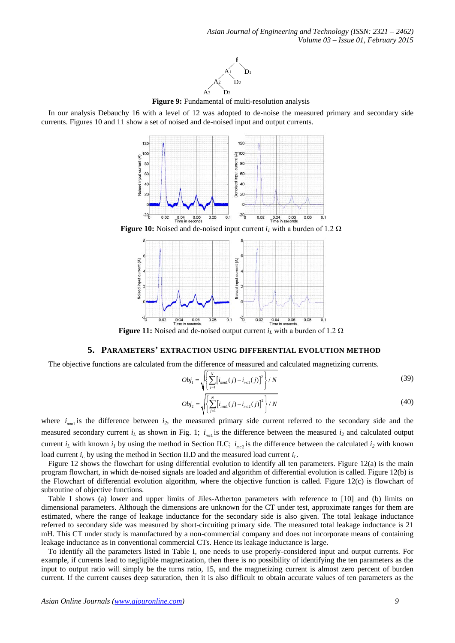

**Figure 9:** Fundamental of multi-resolution analysis

In our analysis Debauchy 16 with a level of 12 was adopted to de-noise the measured primary and secondary side currents. Figures 10 and 11 show a set of noised and de-noised input and output currents.



**Figure 10:** Noised and de-noised input current  $i_l$  with a burden of 1.2  $\Omega$ 



**Figure 11:** Noised and de-noised output current  $i_L$  with a burden of 1.2  $\Omega$ 

# **5. PARAMETERS' EXTRACTION USING DIFFERENTIAL EVOLUTION METHOD**

The objective functions are calculated from the difference of measured and calculated magnetizing currents.

$$
Obj_{1} = \sqrt{\left\{\sum_{j=1}^{N} \left[i_{mm1}(j) - i_{mc1}(j)\right]^{2}\right\}} / N
$$
\n(39)

$$
Obj_2 = \sqrt{\left\{ \sum_{j=1}^{N} \left[ i_{mm1}(j) - i_{mc2}(j) \right]^2 \right\} / N}
$$
\n(40)

where  $i_{mm}$  is the difference between  $i_2$ , the measured primary side current referred to the secondary side and the measured secondary current  $i_L$  as shown in Fig. 1;  $i_{mc1}$  is the difference between the measured  $i_2$  and calculated output current  $i_L$  with known  $i_l$  by using the method in Section II.C;  $i_{mc2}$  is the difference between the calculated  $i_2$  with known load current *i<sub>L</sub>* by using the method in Section II.D and the measured load current *i<sub>L</sub>*.

Figure 12 shows the flowchart for using differential evolution to identify all ten parameters. Figure 12(a) is the main program flowchart, in which de-noised signals are loaded and algorithm of differential evolution is called. Figure 12(b) is the Flowchart of differential evolution algorithm, where the objective function is called. Figure 12(c) is flowchart of subroutine of objective functions.

Table I shows (a) lower and upper limits of Jiles-Atherton parameters with reference to [10] and (b) limits on dimensional parameters. Although the dimensions are unknown for the CT under test, approximate ranges for them are estimated, where the range of leakage inductance for the secondary side is also given. The total leakage inductance referred to secondary side was measured by short-circuiting primary side. The measured total leakage inductance is 21 mH. This CT under study is manufactured by a non-commercial company and does not incorporate means of containing leakage inductance as in conventional commercial CTs. Hence its leakage inductance is large.

To identify all the parameters listed in Table I, one needs to use properly-considered input and output currents. For example, if currents lead to negligible magnetization, then there is no possibility of identifying the ten parameters as the input to output ratio will simply be the turns ratio, 15, and the magnetizing current is almost zero percent of burden current. If the current causes deep saturation, then it is also difficult to obtain accurate values of ten parameters as the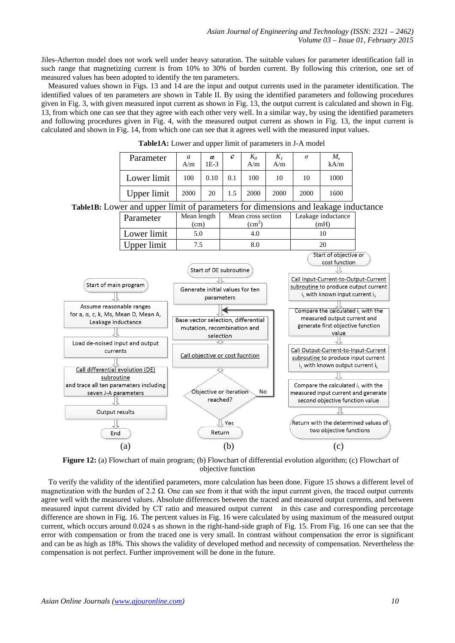Jiles-Atherton model does not work well under heavy saturation. The suitable values for parameter identification fall in such range that magnetizing current is from 10% to 30% of burden current. By following this criterion, one set of measured values has been adopted to identify the ten parameters.

Measured values shown in Figs. 13 and 14 are the input and output currents used in the parameter identification. The identified values of ten parameters are shown in Table II. By using the identified parameters and following procedures given in Fig. 3, with given measured input current as shown in Fig. 13, the output current is calculated and shown in Fig. 13, from which one can see that they agree with each other very well. In a similar way, by using the identified parameters and following procedures given in Fig. 4, with the measured output current as shown in Fig. 13, the input current is calculated and shown in Fig. 14, from which one can see that it agrees well with the measured input values.

| Parameter   | a<br>A/m | α<br>$1E-3$ | с   | $K_0$<br>A/m | $K_I$<br>A/m | $\sigma$ | $M_{\rm s}$<br>kA/m |
|-------------|----------|-------------|-----|--------------|--------------|----------|---------------------|
| Lower limit | 100      | 0.10        | 0.1 | 100          | 10           | 10       | 1000                |
| Upper limit | 2000     | 20          | 1.5 | 2000         | 2000         | 2000     | 1600                |

**Table1A:** Lower and upper limit of parameters in J-A model

**Table1B:** Lower and upper limit of parameters for dimensions and leakage inductance



**Figure 12:** (a) Flowchart of main program; (b) Flowchart of differential evolution algorithm; (c) Flowchart of objective function

To verify the validity of the identified parameters, more calculation has been done. Figure 15 shows a different level of magnetization with the burden of 2.2  $\Omega$ . One can see from it that with the input current given, the traced output currents agree well with the measured values. Absolute differences between the traced and measured output currents, and between measured input current divided by CT ratio and measured output current in this case and corresponding percentage difference are shown in Fig. 16. The percent values in Fig. 16 were calculated by using maximum of the measured output current, which occurs around 0.024 s as shown in the right-hand-side graph of Fig. 15. From Fig. 16 one can see that the error with compensation or from the traced one is very small. In contrast without compensation the error is significant and can be as high as 18%. This shows the validity of developed method and necessity of compensation. Nevertheless the compensation is not perfect. Further improvement will be done in the future.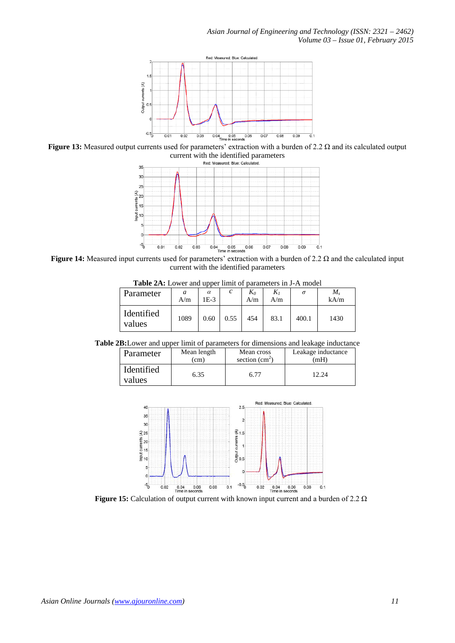

**Figure 13:** Measured output currents used for parameters' extraction with a burden of 2.2 Ω and its calculated output current with the identified parameters<br>  $_{\text{Red: Measured: Blue: Calculate}}$ 



**Figure 14:** Measured input currents used for parameters' extraction with a burden of 2.2 Ω and the calculated input current with the identified parameters

| <b>Table 2A:</b> Lower and upper limit of parameters in J-A model |  |  |  |  |
|-------------------------------------------------------------------|--|--|--|--|
|                                                                   |  |  |  |  |

| Parameter            | a<br>A/m | $\alpha$<br>1E-3 | $\sqrt{2}$ | $K_0$<br>A/m | A/m  | σ     | М.<br>kA/m |
|----------------------|----------|------------------|------------|--------------|------|-------|------------|
| Identified<br>values | 1089     | 0.60             | 0.55       | 454          | 83.1 | 400.1 | 1430       |

**Table 2B:**Lower and upper limit of parameters for dimensions and leakage inductance

| Parameter            | Mean length | Mean cross      | Leakage inductance |
|----------------------|-------------|-----------------|--------------------|
|                      | (cm)        | section $(cm2)$ | mH                 |
| Identified<br>values | 6.35        | 6.77            | 12.24              |



**Figure 15:** Calculation of output current with known input current and a burden of 2.2 Ω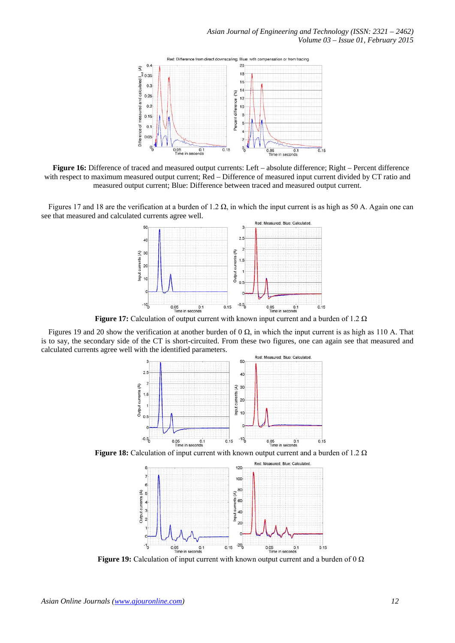

**Figure 16:** Difference of traced and measured output currents: Left – absolute difference; Right – Percent difference with respect to maximum measured output current; Red – Difference of measured input current divided by CT ratio and measured output current; Blue: Difference between traced and measured output current.

Figures 17 and 18 are the verification at a burden of 1.2  $\Omega$ , in which the input current is as high as 50 A. Again one can see that measured and calculated currents agree well.



**Figure 17:** Calculation of output current with known input current and a burden of 1.2 Ω

Figures 19 and 20 show the verification at another burden of 0 Ω, in which the input current is as high as 110 A. That is to say, the secondary side of the CT is short-circuited. From these two figures, one can again see that measured and calculated currents agree well with the identified parameters.



**Figure 18:** Calculation of input current with known output current and a burden of 1.2 Ω



**Figure 19:** Calculation of input current with known output current and a burden of 0 Ω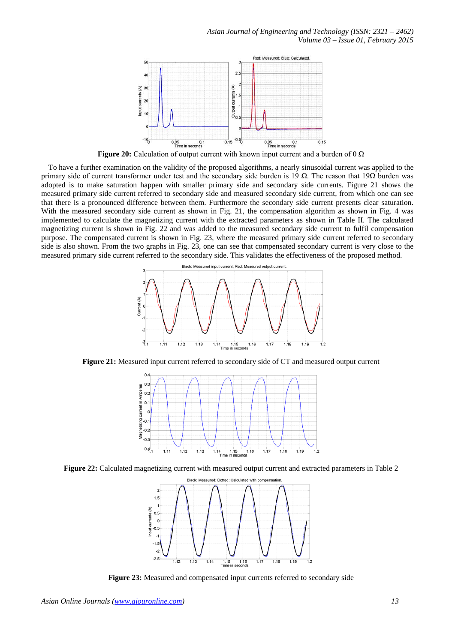

To have a further examination on the validity of the proposed algorithms, a nearly sinusoidal current was applied to the primary side of current transformer under test and the secondary side burden is 19 Ω. The reason that 19Ω burden was adopted is to make saturation happen with smaller primary side and secondary side currents. Figure 21 shows the measured primary side current referred to secondary side and measured secondary side current, from which one can see that there is a pronounced difference between them. Furthermore the secondary side current presents clear saturation. With the measured secondary side current as shown in Fig. 21, the compensation algorithm as shown in Fig. 4 was implemented to calculate the magnetizing current with the extracted parameters as shown in Table II. The calculated magnetizing current is shown in Fig. 22 and was added to the measured secondary side current to fulfil compensation purpose. The compensated current is shown in Fig. 23, where the measured primary side current referred to secondary side is also shown. From the two graphs in Fig. 23, one can see that compensated secondary current is very close to the measured primary side current referred to the secondary side. This validates the effectiveness of the proposed method.



**Figure 21:** Measured input current referred to secondary side of CT and measured output current



**Figure 22:** Calculated magnetizing current with measured output current and extracted parameters in Table 2



**Figure 23:** Measured and compensated input currents referred to secondary side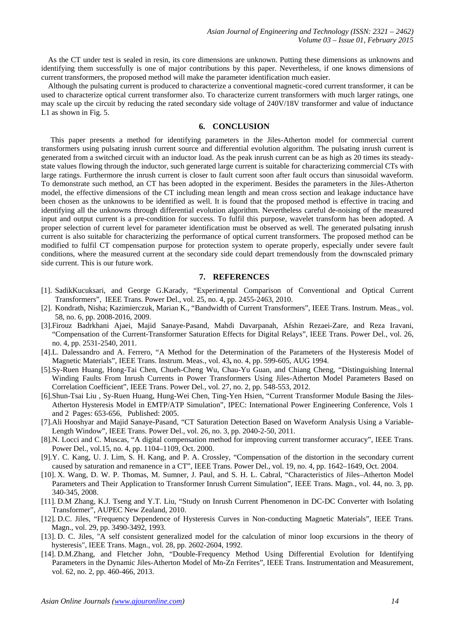As the CT under test is sealed in resin, its core dimensions are unknown. Putting these dimensions as unknowns and identifying them successfully is one of major contributions by this paper. Nevertheless, if one knows dimensions of current transformers, the proposed method will make the parameter identification much easier.

Although the pulsating current is produced to characterize a conventional magnetic-cored current transformer, it can be used to characterize optical current transformer also. To characterize current transformers with much larger ratings, one may scale up the circuit by reducing the rated secondary side voltage of 240V/18V transformer and value of inductance L1 as shown in Fig. 5.

#### **6. CONCLUSION**

This paper presents a method for identifying parameters in the Jiles-Atherton model for commercial current transformers using pulsating inrush current source and differential evolution algorithm. The pulsating inrush current is generated from a switched circuit with an inductor load. As the peak inrush current can be as high as 20 times its steadystate values flowing through the inductor, such generated large current is suitable for characterizing commercial CTs with large ratings. Furthermore the inrush current is closer to fault current soon after fault occurs than sinusoidal waveform. To demonstrate such method, an CT has been adopted in the experiment. Besides the parameters in the Jiles-Atherton model, the effective dimensions of the CT including mean length and mean cross section and leakage inductance have been chosen as the unknowns to be identified as well. It is found that the proposed method is effective in tracing and identifying all the unknowns through differential evolution algorithm. Nevertheless careful de-noising of the measured input and output current is a pre-condition for success. To fulfil this purpose, wavelet transform has been adopted. A proper selection of current level for parameter identification must be observed as well. The generated pulsating inrush current is also suitable for characterizing the performance of optical current transformers. The proposed method can be modified to fulfil CT compensation purpose for protection system to operate properly, especially under severe fault conditions, where the measured current at the secondary side could depart tremendously from the downscaled primary side current. This is our future work.

#### **7. REFERENCES**

- [1]. SadikKucuksari, and George G.Karady, "Experimental Comparison of Conventional and Optical Current Transformers", IEEE Trans. Power Del., vol. 25, no. 4, pp. 2455-2463, 2010.
- [2]. Kondrath, Nisha; Kazimierczuk, Marian K., "Bandwidth of Current Transformers", IEEE Trans. Instrum. Meas., vol. 58, no. 6, pp. 2008-2016, 2009.
- [3].Firouz Badrkhani Ajaei, Majid Sanaye-Pasand, Mahdi Davarpanah, Afshin Rezaei-Zare, and Reza Iravani, "Compensation of the Current-Transformer Saturation Effects for Digital Relays", IEEE Trans. Power Del., vol. 26, no. 4, pp. 2531-2540, 2011.
- [4].L. Dalessandro and A. Ferrero, ["A Method for the Determination of the Parameters of the Hysteresis Model of](http://apps.webofknowledge.com/full_record.do?product=UA&search_mode=Refine&qid=5&SID=T2KbFDnMHBB94Ojj836&page=1&doc=5)  [Magnetic Materials"](http://apps.webofknowledge.com/full_record.do?product=UA&search_mode=Refine&qid=5&SID=T2KbFDnMHBB94Ojj836&page=1&doc=5), IEEE Trans. Instrum. Meas., vol. 43**,** no. 4, pp. 599-605, AUG 1994.
- [5].Sy-Ruen Huang, Hong-Tai Chen, Chueh-Cheng Wu, Chau-Yu Guan, and Chiang Cheng, "Distinguishing Internal Winding Faults From Inrush Currents in Power Transformers Using Jiles-Atherton Model Parameters Based on Correlation Coefficient", IEEE Trans. Power Del., vol. 27, no. 2, pp. 548-553, 2012.
- [6].Shun-Tsai Liu , Sy-Ruen Huang, Hung-Wei Chen, Ting-Yen Hsien, "Current Transformer Module Basing the Jiles-Atherton Hysteresis Model in EMTP/ATP Simulation", IPEC: International Power Engineering Conference, Vols 1 and 2 Pages: 653-656, Published: 2005.
- [7].Ali Hooshyar and Majid Sanaye-Pasand, "CT Saturation Detection Based on Waveform Analysis Using a Variable-Length Window", IEEE Trans. Power Del., vol. 26, no. 3, pp. 2040-2-50, 2011.
- [8].N. Locci and C. Muscas, "A digital compensation method for improving current transformer accuracy", IEEE Trans. Power Del., vol.15, no. 4, pp. 1104–1109, Oct. 2000.
- [9].Y. C. Kang, U. J. Lim, S. H. Kang, and P. A. Crossley, "Compensation of the distortion in the secondary current caused by saturation and remanence in a CT", IEEE Trans. Power Del., vol. 19, no. 4, pp. 1642–1649, Oct. 2004.
- [10]. X. Wang, D. W. P. Thomas, M. Sumner, J. Paul, and S. H. L. Cabral, "Characteristics of Jiles–Atherton Model Parameters and Their Application to Transformer Inrush Current Simulation", IEEE Trans. Magn., vol. 44, no. 3, pp. 340-345, 2008.
- [11]. D.M Zhang, K.J. Tseng and Y.T. Liu, "Study on Inrush Current Phenomenon in DC-DC Converter with Isolating Transformer", AUPEC New Zealand, 2010.
- [12]. D.C. Jiles, "Frequency Dependence of Hysteresis Curves in Non-conducting Magnetic Materials", IEEE Trans. Magn., vol. 29, pp. 3490-3492, 1993.
- [13]. D. C. Jiles, "A self consistent generalized model for the calculation of minor loop excursions in the theory of hysteresis", IEEE Trans. Magn., vol. 28, pp. 2602-2604, 1992.
- [14]. D.M.Zhang, and Fletcher John, "Double-Frequency Method Using Differential Evolution for Identifying Parameters in the Dynamic Jiles-Atherton Model of Mn-Zn Ferrites", IEEE Trans. Instrumentation and Measurement, vol. 62, no. 2, pp. 460-466, 2013.